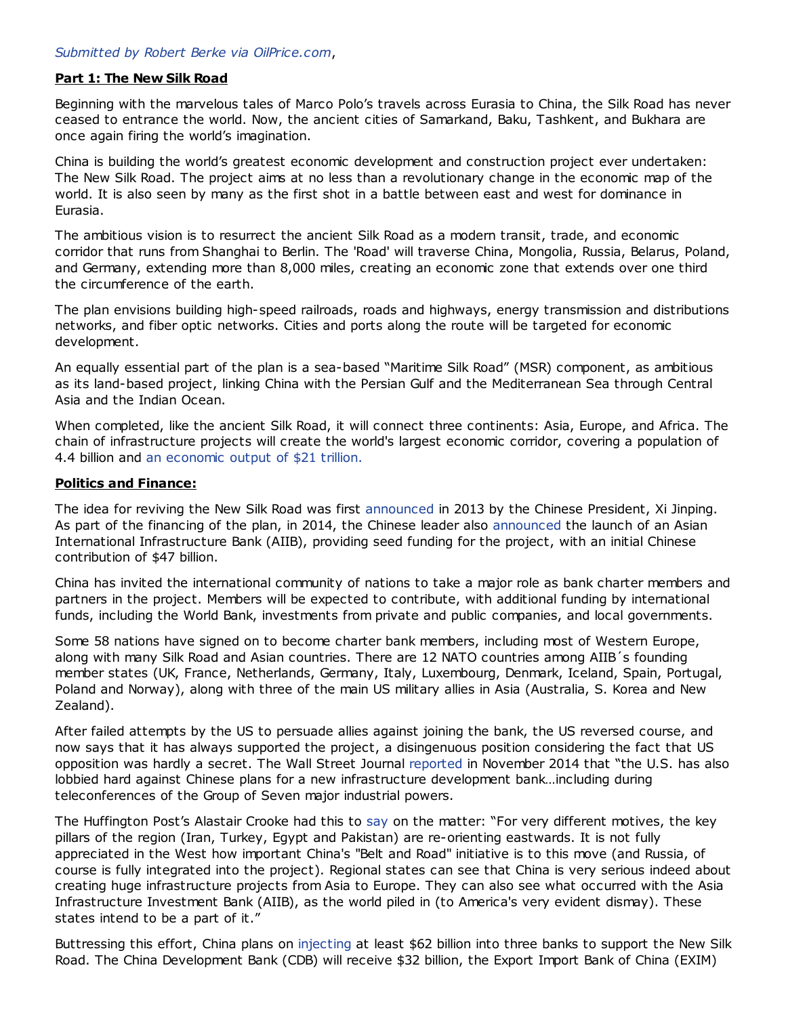# Part 1: The New Silk Road

Beginning with the marvelous tales of Marco Polo's travels across Eurasia to China, the Silk Road has never ceased to entrance the world. Now, the ancient cities of Samarkand, Baku, Tashkent, and Bukhara are once again firing the world's imagination.

China is building the world's greatest economic development and construction project ever undertaken: The New Silk Road. The project aims at no less than a revolutionary change in the economic map of the world. It is also seen by many as the first shot in a battle between east and west for dominance in Eurasia.

The ambitious vision is to resurrect the ancient Silk Road as a modern transit, trade, and economic corridor that runs from Shanghai to Berlin. The 'Road' will traverse China, Mongolia, Russia, Belarus, Poland, and Germany, extending more than 8,000 miles, creating an economic zone that extends over one third the circumference of the earth.

The plan envisions building high-speed railroads, roads and highways, energy transmission and distributions networks, and fiber optic networks. Cities and ports along the route will be targeted for economic development.

An equally essential part of the plan is a sea-based "Maritime Silk Road" (MSR) component, as ambitious as its land-based project, linking China with the Persian Gulf and the Mediterranean Sea through Central Asia and the Indian Ocean.

When completed, like the ancient Silk Road, it will connect three continents: Asia, Europe, and Africa. The chain of infrastructure projects will create the world's largest economic corridor, covering a population of 4.4 billion and an [economic](http://thediplomat.com/2014/05/chinas-new-silk-road-vision-revealed) output of \$21 trillion.

### Politics and Finance:

The idea for reviving the New Silk Road was first [announced](http://usa.chinadaily.com.cn/china/2013-09/08/content_16952304.htm) in 2013 by the Chinese President, Xi Jinping. As part of the financing of the plan, in 2014, the Chinese leader also [announced](http://www.voanews.com/content/china-launches-new-asia-development-bank/2494903.html) the launch of an Asian International Infrastructure Bank (AIIB), providing seed funding for the project, with an initial Chinese contribution of \$47 billion.

China has invited the international community of nations to take a major role as bank charter members and partners in the project. Members will be expected to contribute, with additional funding by international funds, including the World Bank, investments from private and public companies, and local governments.

Some 58 nations have signed on to become charter bank members, including most of Western Europe, along with many Silk Road and Asian countries. There are 12 NATO countries among AIIB's founding member states (UK, France, Netherlands, Germany, Italy, Luxembourg, Denmark, Iceland, Spain, Portugal, Poland and Norway), along with three of the main US military allies in Asia (Australia, S. Korea and New Zealand).

After failed attempts by the US to persuade allies against joining the bank, the US reversed course, and now says that it has always supported the project, a disingenuous position considering the fact that US opposition was hardly a secret. The Wall Street Journal [reported](http://www.wsj.com/articles/u-s-blocks-china-efforts-to-promote-asia-trade-pact-1414965150) in November 2014 that "the U.S. has also lobbied hard against Chinese plans for a new infrastructure development bank…including during teleconferences of the Group of Seven major industrial powers.

The Huffington Post's Alastair Crooke had this to [say](http://www.huffingtonpost.com/alastair-crooke/saudi-arabia-yemen-east_b_7163776.html) on the matter: "For very different motives, the key pillars of the region (Iran, Turkey, Egypt and Pakistan) are re-orienting eastwards. It is not fully appreciated in the West how important China's "Belt and Road" initiative is to this move (and Russia, of course is fully integrated into the project). Regional states can see that China is very serious indeed about creating huge infrastructure projects from Asia to Europe. They can also see what occurred with the Asia Infrastructure Investment Bank (AIIB), as the world piled in (to America's very evident dismay). These states intend to be a part of it."

Buttressing this effort, China plans on [injecting](http://rt.com/business/251329-china-new-silk-road/) at least \$62 billion into three banks to support the New Silk Road. The China Development Bank (CDB) will receive \$32 billion, the Export Import Bank of China (EXIM)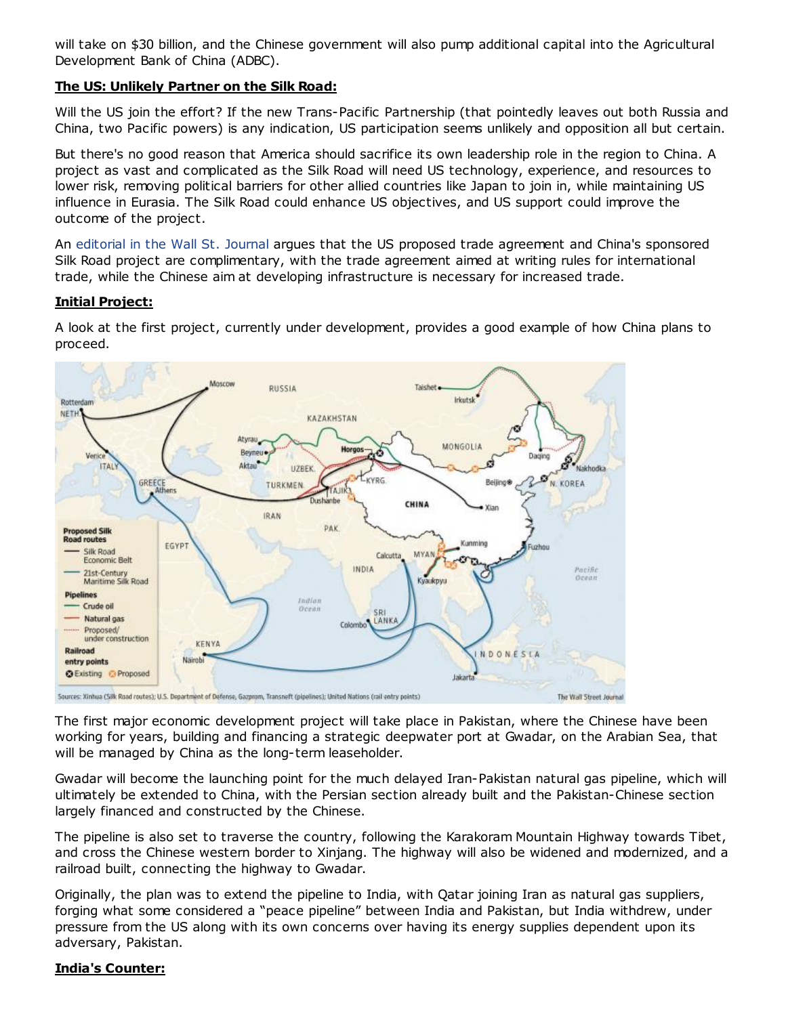will take on \$30 billion, and the Chinese government will also pump additional capital into the Agricultural Development Bank of China (ADBC).

# The US: Unlikely Partner on the Silk Road:

Will the US join the effort? If the new Trans-Pacific Partnership (that pointedly leaves out both Russia and China, two Pacific powers) is any indication, US participation seems unlikely and opposition all but certain.

But there's no good reason that America should sacrifice its own leadership role in the region to China. A project as vast and complicated as the Silk Road will need US technology, experience, and resources to lower risk, removing political barriers for other allied countries like Japan to join in, while maintaining US influence in Eurasia. The Silk Road could enhance US objectives, and US support could improve the outcome of the project.

An [editorial](http://www.wsj.com/articles/the-u-s-china-disconnect-on-trade-deals-1430681997) in the Wall St. Journal argues that the US proposed trade agreement and China's sponsored Silk Road project are complimentary, with the trade agreement aimed at writing rules for international trade, while the Chinese aim at developing infrastructure is necessary for increased trade.

# Initial Project:

A look at the first project, currently under development, provides a good example of how China plans to proceed.



The first major economic development project will take place in Pakistan, where the Chinese have been working for years, building and financing a strategic deepwater port at Gwadar, on the Arabian Sea, that will be managed by China as the long-term leaseholder.

Gwadar will become the launching point for the much delayed Iran-Pakistan natural gas pipeline, which will ultimately be extended to China, with the Persian section already built and the Pakistan-Chinese section largely financed and constructed by the Chinese.

The pipeline is also set to traverse the country, following the Karakoram Mountain Highway towards Tibet, and cross the Chinese western border to Xinjang. The highway will also be widened and modernized, and a railroad built, connecting the highway to Gwadar.

Originally, the plan was to extend the pipeline to India, with Qatar joining Iran as natural gas suppliers, forging what some considered a "peace pipeline" between India and Pakistan, but India withdrew, under pressure from the US along with its own concerns over having its energy supplies dependent upon its adversary, Pakistan.

# India's Counter: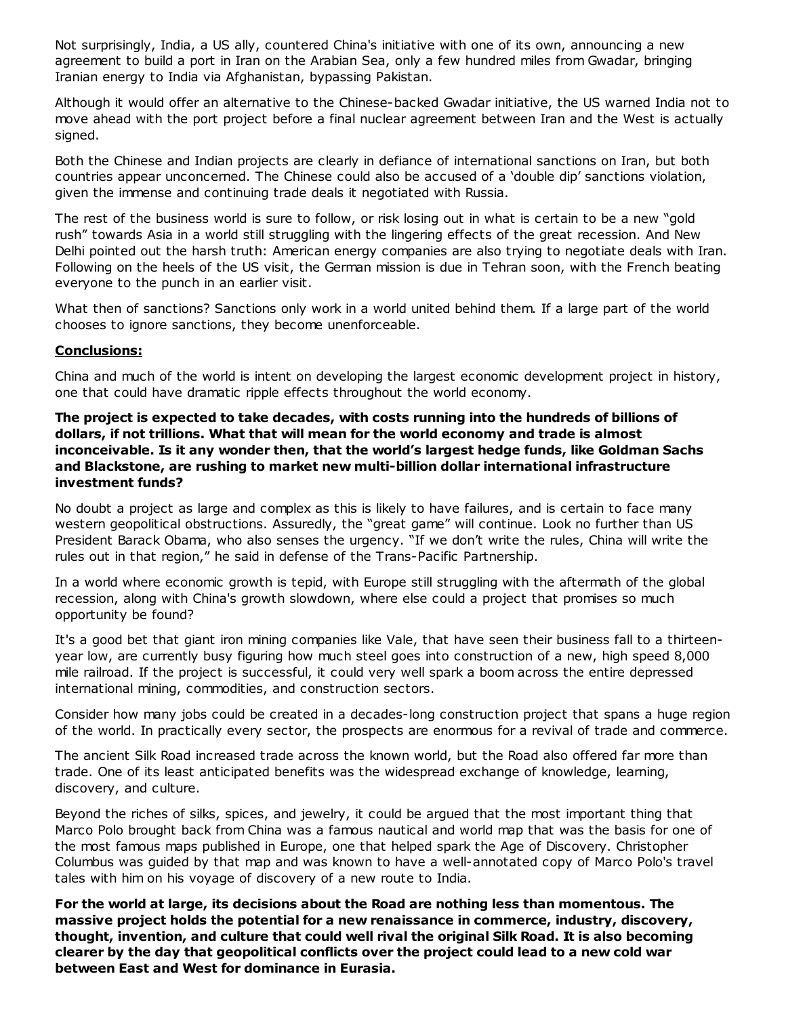Not surprisingly, India, a US ally, countered China's initiative with one of its own, announcing a new agreement to build a port in Iran on the Arabian Sea, only a few hundred miles from Gwadar, bringing Iranian energy to India via Afghanistan, bypassing Pakistan.

Although it would offer an alternative to the Chinese-backed Gwadar initiative, the US warned India not to move ahead with the port project before a final nuclear agreement between Iran and the West is actually signed.

Both the Chinese and Indian projects are clearly in defiance of international sanctions on Iran, but both countries appear unconcerned. The Chinese could also be accused of a 'double dip' sanctions violation, given the immense and continuing trade deals it negotiated with Russia.

The rest of the business world is sure to follow, or risk losing out in what is certain to be a new "gold rush" towards Asia in a world still struggling with the lingering effects of the great recession. And New Delhi pointed out the harsh truth: American energy companies are also trying to negotiate deals with Iran. Following on the heels of the US visit, the German mission is due in Tehran soon, with the French beating everyone to the punch in an earlier visit.

What then of sanctions? Sanctions only work in a world united behind them. If a large part of the world chooses to ignore sanctions, they become unenforceable.

# Conclusions:

China and much of the world is intent on developing the largest economic development project in history, one that could have dramatic ripple effects throughout the world economy.

# The project is expected to take decades, with costs running into the hundreds of billions of dollars, if not trillions. What that will mean for the world economy and trade is almost inconceivable. Is it any wonder then, that the world's largest hedge funds, like Goldman Sachs and Blackstone, are rushing to market new multi-billion dollar international infrastructure investment funds?

No doubt a project as large and complex as this is likely to have failures, and is certain to face many western geopolitical obstructions. Assuredly, the "great game" will continue. Look no further than US President Barack Obama, who also senses the urgency. "If we don't write the rules, China will write the rules out in that region," he said in defense of the Trans-Pacific Partnership.

In a world where economic growth is tepid, with Europe still struggling with the aftermath of the global recession, along with China's growth slowdown, where else could a project that promises so much opportunity be found?

It's a good bet that giant iron mining companies like Vale, that have seen their business fall to a thirteenyear low, are currently busy figuring how much steel goes into construction of a new, high speed 8,000 mile railroad. If the project is successful, it could very well spark a boom across the entire depressed international mining, commodities, and construction sectors.

Consider how many jobs could be created in a decades-long construction project that spans a huge region of the world. In practically every sector, the prospects are enormous for a revival of trade and commerce.

The ancient Silk Road increased trade across the known world, but the Road also offered far more than trade. One of its least anticipated benefits was the widespread exchange of knowledge, learning, discovery, and culture.

Beyond the riches of silks, spices, and jewelry, it could be argued that the most important thing that Marco Polo brought back from China was a famous nautical and world map that was the basis for one of the most famous maps published in Europe, one that helped spark the Age of Discovery. Christopher Columbus was guided by that map and was known to have a well-annotated copy of Marco Polo's travel tales with him on his voyage of discovery of a new route to India.

For the world at large, its decisions about the Road are nothing less than momentous. The massive project holds the potential for a new renaissance in commerce, industry, discovery, thought, invention, and culture that could well rival the original Silk Road. It is also becoming clearer by the day that geopolitical conflicts over the project could lead to a new cold war between East and West for dominance in Eurasia.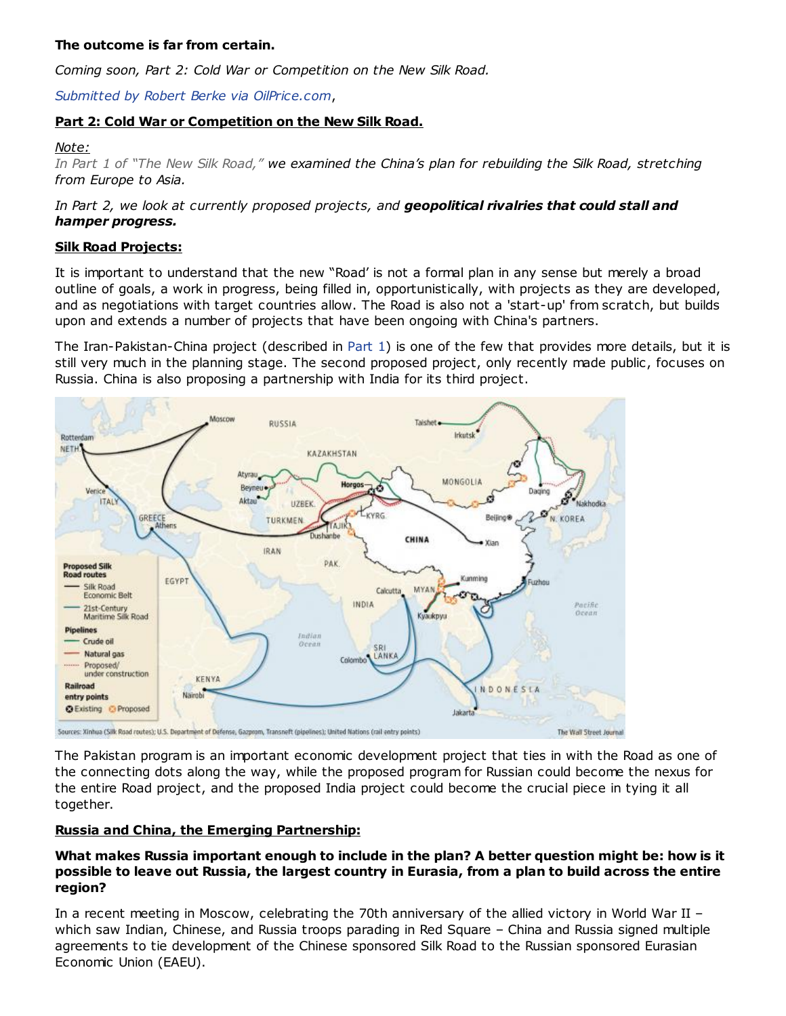# The outcome is far from certain.

Coming soon, Part 2: Cold War or Competition on the New Silk Road.

Submitted by Robert Berke via [OilPrice.com](http://oilprice.com/Energy/Energy-General/Could-The-New-Silk-Road-End-Old-Geopolitical-Tensions.html),

# Part 2: Cold War or Competition on the New Silk Road.

## Note:

In Part 1 of "The New Silk [Road,"](http://www.zerohedge.com/news/2015-05-23/new-silk-road-could-change-global-economics-forever-part-1) we examined the China's plan for rebuilding the Silk Road, stretching from Europe to Asia.

# In Part 2, we look at currently proposed projects, and geopolitical rivalries that could stall and hamper progress.

# Silk Road Projects:

It is important to understand that the new "Road' is not a formal plan in any sense but merely a broad outline of goals, a work in progress, being filled in, opportunistically, with projects as they are developed, and as negotiations with target countries allow. The Road is also not a 'start-up' from scratch, but builds upon and extends a number of projects that have been ongoing with China's partners.

The Iran-Pakistan-China project (described in [Part](https://oilprice.com/Energy/Energy-General/New-Silk-Road-Could-Change-Global-Economics-Forever.html) 1) is one of the few that provides more details, but it is still very much in the planning stage. The second proposed project, only recently made public, focuses on Russia. China is also proposing a partnership with India for its third project.



The Pakistan program is an important economic development project that ties in with the Road as one of the connecting dots along the way, while the proposed program for Russian could become the nexus for the entire Road project, and the proposed India project could become the crucial piece in tying it all together.

# Russia and China, the Emerging Partnership:

# What makes Russia important enough to include in the plan? A better question might be: how is it possible to leave out Russia, the largest country in Eurasia, from a plan to build across the entire region?

In a recent meeting in Moscow, celebrating the 70th anniversary of the allied victory in World War II – which saw Indian, Chinese, and Russia troops parading in Red Square – China and Russia signed multiple agreements to tie development of the Chinese sponsored Silk Road to the Russian sponsored Eurasian Economic Union (EAEU).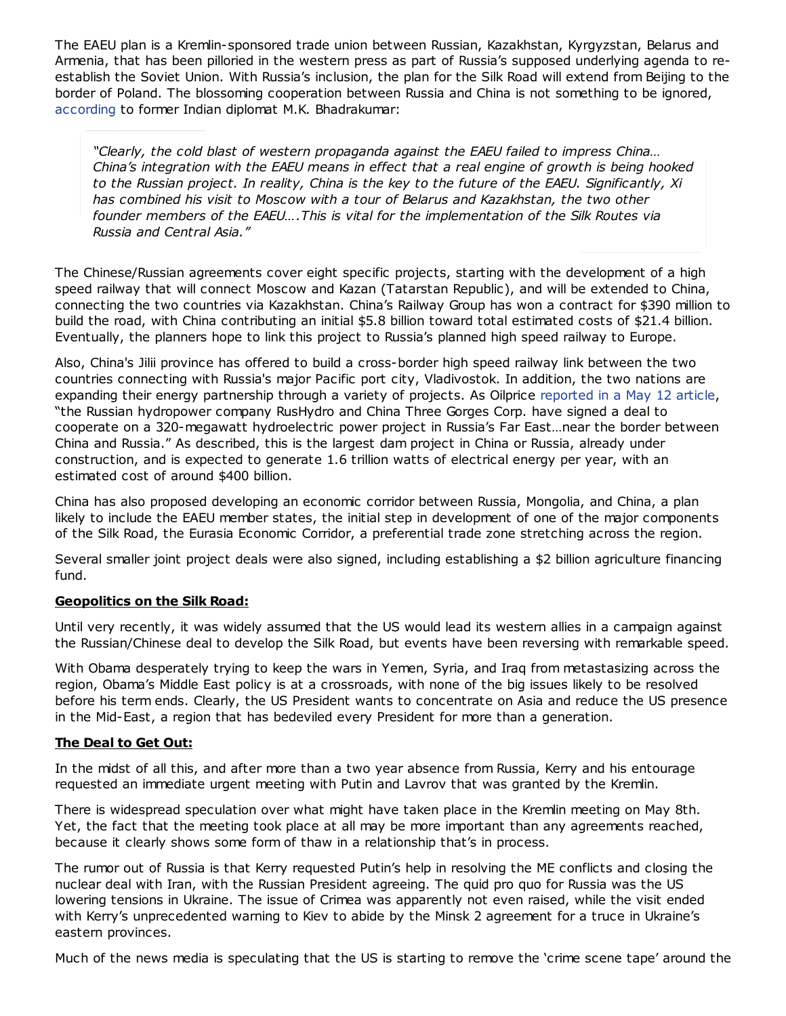The EAEU plan is a Kremlin-sponsored trade union between Russian, Kazakhstan, Kyrgyzstan, Belarus and Armenia, that has been pilloried in the western press as part of Russia's supposed underlying agenda to reestablish the Soviet Union. With Russia's inclusion, the plan for the Silk Road will extend from Beijing to the border of Poland. The blossoming cooperation between Russia and China is not something to be ignored, [according](http://atimes.com/2015/05/the-sino-russian-entente-in-eurasia/) to former Indian diplomat M.K. Bhadrakumar:

"Clearly, the cold blast of western propaganda against the EAEU failed to impress China… China's integration with the EAEU means in effect that a real engine of growth is being hooked to the Russian project. In reality, China is the key to the future of the EAEU. Significantly, Xi has combined his visit to Moscow with a tour of Belarus and Kazakhstan, the two other founder members of the EAEU….This is vital for the implementation of the Silk Routes via Russia and Central Asia."

The Chinese/Russian agreements cover eight specific projects, starting with the development of a high speed railway that will connect Moscow and Kazan (Tatarstan Republic), and will be extended to China, connecting the two countries via Kazakhstan. China's Railway Group has won a contract for \$390 million to build the road, with China contributing an initial \$5.8 billion toward total estimated costs of \$21.4 billion. Eventually, the planners hope to link this project to Russia's planned high speed railway to Europe.

Also, China's Jilii province has offered to build a cross-border high speed railway link between the two countries connecting with Russia's major Pacific port city, Vladivostok. In addition, the two nations are expanding their energy partnership through a variety of projects. As Oilprice [reported](http://oilprice.com/Latest-Energy-News/World-News/Hydropower-The-Latest-Joint-Chinese-Russia-Energy-Project.html) in a May 12 article, "the Russian hydropower company RusHydro and China Three Gorges Corp. have signed a deal to cooperate on a 320-megawatt hydroelectric power project in Russia's Far East…near the border between China and Russia." As described, this is the largest dam project in China or Russia, already under construction, and is expected to generate 1.6 trillion watts of electrical energy per year, with an estimated cost of around \$400 billion.

China has also proposed developing an economic corridor between Russia, Mongolia, and China, a plan likely to include the EAEU member states, the initial step in development of one of the major components of the Silk Road, the Eurasia Economic Corridor, a preferential trade zone stretching across the region.

Several smaller joint project deals were also signed, including establishing a \$2 billion agriculture financing fund.

# Geopolitics on the Silk Road:

Until very recently, it was widely assumed that the US would lead its western allies in a campaign against the Russian/Chinese deal to develop the Silk Road, but events have been reversing with remarkable speed.

With Obama desperately trying to keep the wars in Yemen, Syria, and Iraq from metastasizing across the region, Obama's Middle East policy is at a crossroads, with none of the big issues likely to be resolved before his term ends. Clearly, the US President wants to concentrate on Asia and reduce the US presence in the Mid-East, a region that has bedeviled every President for more than a generation.

# The Deal to Get Out:

In the midst of all this, and after more than a two year absence from Russia, Kerry and his entourage requested an immediate urgent meeting with Putin and Lavrov that was granted by the Kremlin.

There is widespread speculation over what might have taken place in the Kremlin meeting on May 8th. Yet, the fact that the meeting took place at all may be more important than any agreements reached, because it clearly shows some form of thaw in a relationship that's in process.

The rumor out of Russia is that Kerry requested Putin's help in resolving the ME conflicts and closing the nuclear deal with Iran, with the Russian President agreeing. The quid pro quo for Russia was the US lowering tensions in Ukraine. The issue of Crimea was apparently not even raised, while the visit ended with Kerry's unprecedented warning to Kiev to abide by the Minsk 2 agreement for a truce in Ukraine's eastern provinces.

Much of the news media is speculating that the US is starting to remove the 'crime scene tape' around the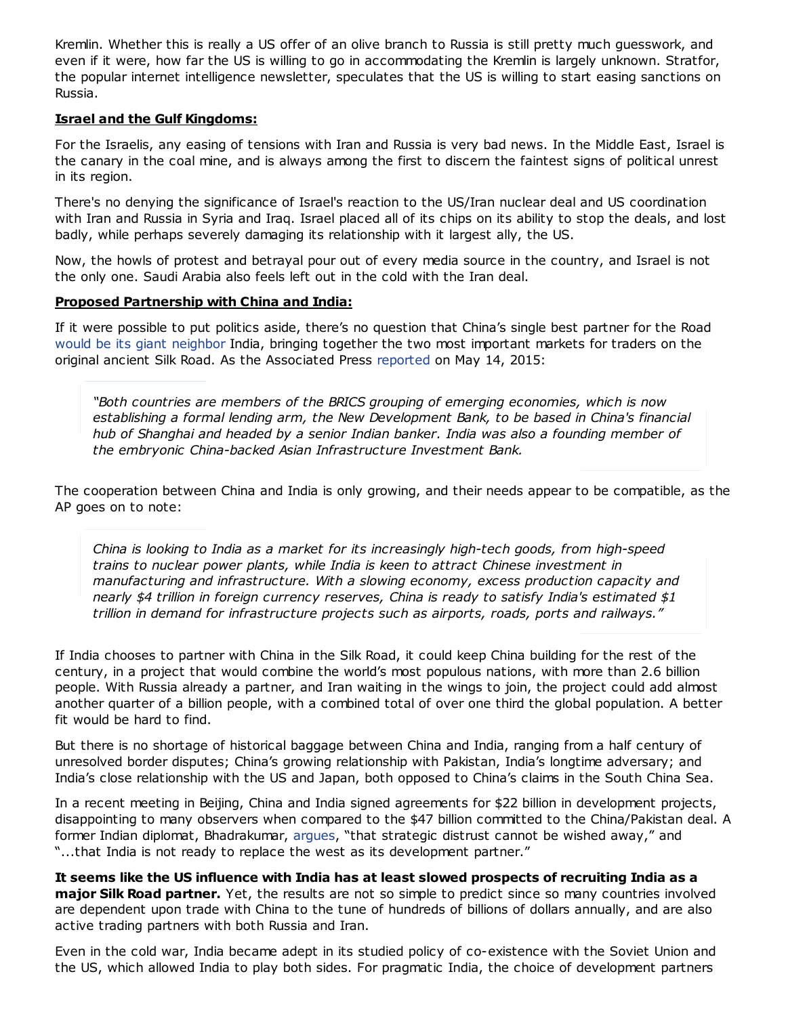Kremlin. Whether this is really a US offer of an olive branch to Russia is still pretty much guesswork, and even if it were, how far the US is willing to go in accommodating the Kremlin is largely unknown. Stratfor, the popular internet intelligence newsletter, speculates that the US is willing to start easing sanctions on Russia.

# Israel and the Gulf Kingdoms:

For the Israelis, any easing of tensions with Iran and Russia is very bad news. In the Middle East, Israel is the canary in the coal mine, and is always among the first to discern the faintest signs of political unrest in its region.

There's no denying the significance of Israel's reaction to the US/Iran nuclear deal and US coordination with Iran and Russia in Syria and Iraq. Israel placed all of its chips on its ability to stop the deals, and lost badly, while perhaps severely damaging its relationship with it largest ally, the US.

Now, the howls of protest and betrayal pour out of every media source in the country, and Israel is not the only one. Saudi Arabia also feels left out in the cold with the Iran deal.

### Proposed Partnership with China and India:

If it were possible to put politics aside, there's no question that China's single best partner for the Road would be its giant [neighbor](http://abcnews.go.com/International/wireStory/personal-diplomacy-marks-modis-china-trip-amid-warming-31032603) India, bringing together the two most important markets for traders on the original ancient Silk Road. As the Associated Press [reported](http://hosted.ap.org/dynamic/stories/A/AS_CHINA_INDIA_SUMMIT?SITE=AP&SECTION=HOME&TEMPLATE=DEFAULT) on May 14, 2015:

"Both countries are members of the BRICS grouping of emerging economies, which is now establishing a formal lending arm, the New Development Bank, to be based in China's financial hub of Shanghai and headed by a senior Indian banker. India was also a founding member of the embryonic China-backed Asian Infrastructure Investment Bank.

The cooperation between China and India is only growing, and their needs appear to be compatible, as the AP goes on to note:

China is looking to India as a market for its increasingly high-tech goods, from high-speed trains to nuclear power plants, while India is keen to attract Chinese investment in manufacturing and infrastructure. With a slowing economy, excess production capacity and nearly \$4 trillion in foreign currency reserves, China is ready to satisfy India's estimated \$1 trillion in demand for infrastructure projects such as airports, roads, ports and railways."

If India chooses to partner with China in the Silk Road, it could keep China building for the rest of the century, in a project that would combine the world's most populous nations, with more than 2.6 billion people. With Russia already a partner, and Iran waiting in the wings to join, the project could add almost another quarter of a billion people, with a combined total of over one third the global population. A better fit would be hard to find.

But there is no shortage of historical baggage between China and India, ranging from a half century of unresolved border disputes; China's growing relationship with Pakistan, India's longtime adversary; and India's close relationship with the US and Japan, both opposed to China's claims in the South China Sea.

In a recent meeting in Beijing, China and India signed agreements for \$22 billion in development projects, disappointing to many observers when compared to the \$47 billion committed to the China/Pakistan deal. A former Indian diplomat, Bhadrakumar, [argues](http://atimes.com/2015/05/india-tries-to-forge-a-new-type-of-relationship-with-china/), "that strategic distrust cannot be wished away," and "...that India is not ready to replace the west as its development partner."

It seems like the US influence with India has at least slowed prospects of recruiting India as a **major Silk Road partner.** Yet, the results are not so simple to predict since so many countries involved are dependent upon trade with China to the tune of hundreds of billions of dollars annually, and are also active trading partners with both Russia and Iran.

Even in the cold war, India became adept in its studied policy of co-existence with the Soviet Union and the US, which allowed India to play both sides. For pragmatic India, the choice of development partners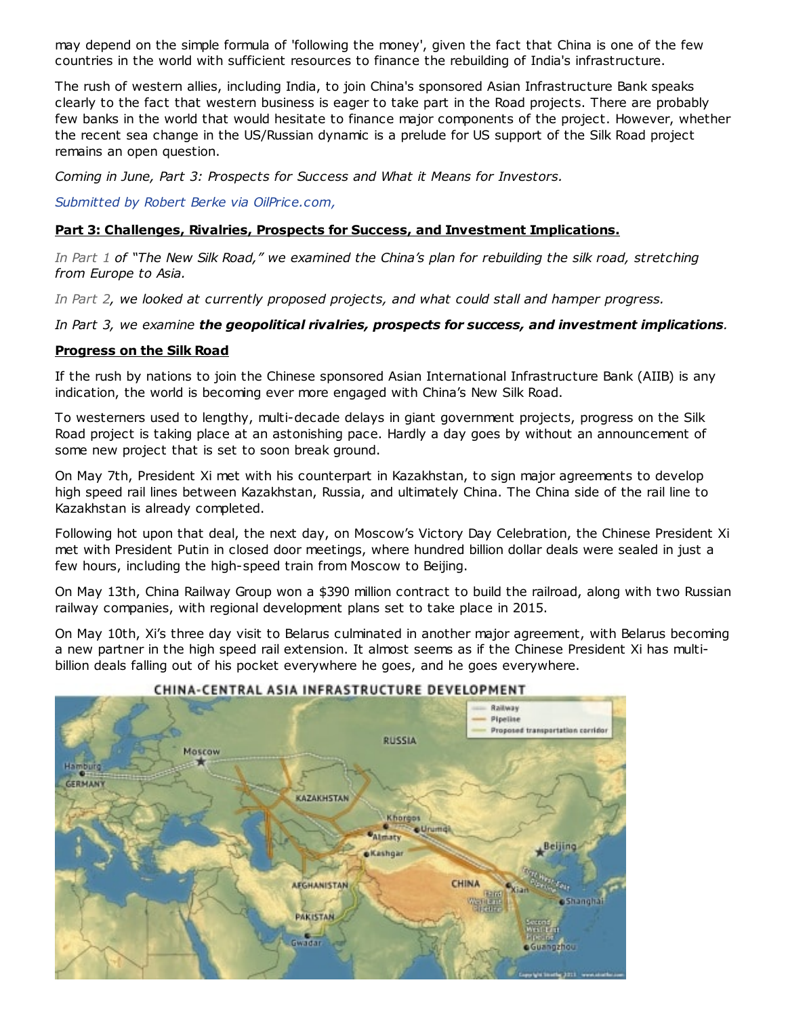may depend on the simple formula of 'following the money', given the fact that China is one of the few countries in the world with sufficient resources to finance the rebuilding of India's infrastructure.

The rush of western allies, including India, to join China's sponsored Asian Infrastructure Bank speaks clearly to the fact that western business is eager to take part in the Road projects. There are probably few banks in the world that would hesitate to finance major components of the project. However, whether the recent sea change in the US/Russian dynamic is a prelude for US support of the Silk Road project remains an open question.

Coming in June, Part 3: Prospects for Success and What it Means for Investors.

Submitted by Robert Berke via [OilPrice.com,](http://oilprice.com/Energy/Energy-General/New-Silk-Road-Could-Open-Up-Massive-Investment-Opportunities.html)

# Part 3: Challenges, Rivalries, Prospects for Success, and Investment Implications.

In [Part](http://www.zerohedge.com/news/2015-05-23/new-silk-road-could-change-global-economics-forever-part-1) 1 of "The New Silk Road," we examined the China's plan for rebuilding the silk road, stretching from Europe to Asia.

In [Part](http://www.zerohedge.com/news/2015-05-27/new-silk-road-part-2-cold-war-or-competition) 2, we looked at currently proposed projects, and what could stall and hamper progress.

# In Part 3, we examine the geopolitical rivalries, prospects for success, and investment implications.

### Progress on the Silk Road

If the rush by nations to join the Chinese sponsored Asian International Infrastructure Bank (AIIB) is any indication, the world is becoming ever more engaged with China's New Silk Road.

To westerners used to lengthy, multi-decade delays in giant government projects, progress on the Silk Road project is taking place at an astonishing pace. Hardly a day goes by without an announcement of some new project that is set to soon break ground.

On May 7th, President Xi met with his counterpart in Kazakhstan, to sign major agreements to develop high speed rail lines between Kazakhstan, Russia, and ultimately China. The China side of the rail line to Kazakhstan is already completed.

Following hot upon that deal, the next day, on Moscow's Victory Day Celebration, the Chinese President Xi met with President Putin in closed door meetings, where hundred billion dollar deals were sealed in just a few hours, including the high-speed train from Moscow to Beijing.

On May 13th, China Railway Group won a \$390 million contract to build the railroad, along with two Russian railway companies, with regional development plans set to take place in 2015.

On May 10th, Xi's three day visit to Belarus culminated in another major agreement, with Belarus becoming a new partner in the high speed rail extension. It almost seems as if the Chinese President Xi has multibillion deals falling out of his pocket everywhere he goes, and he goes everywhere.



### CHINA-CENTRAL ASIA INFRASTRUCTURE DEVELOPMENT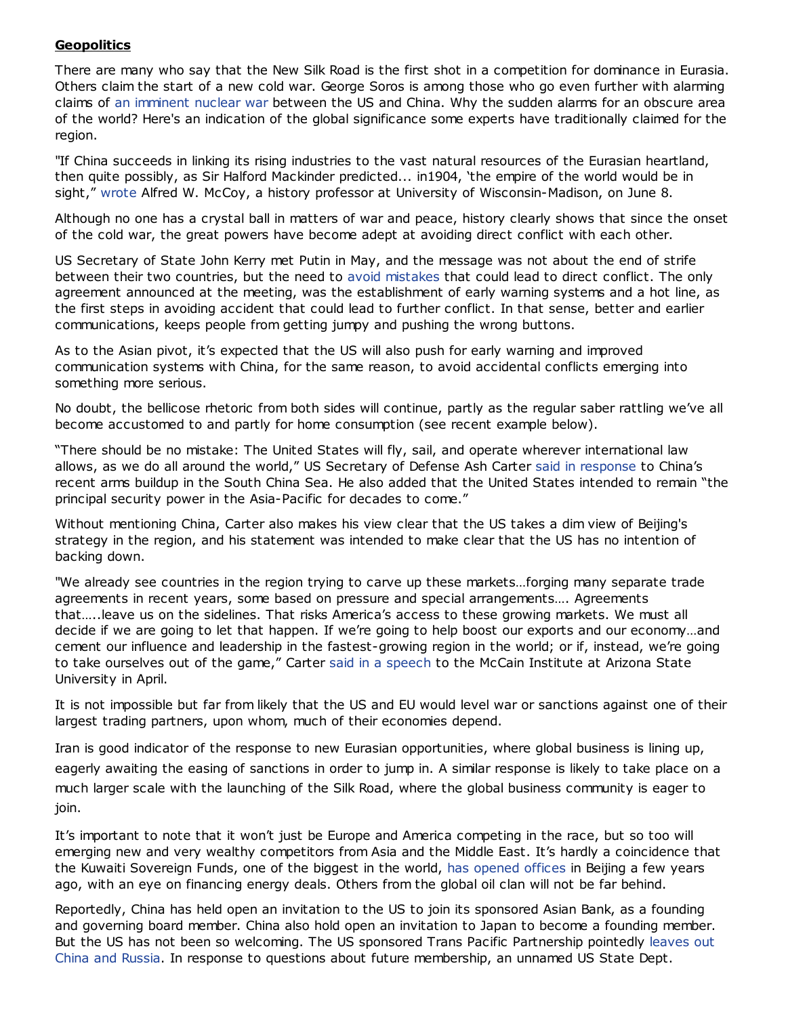# **Geopolitics**

There are many who say that the New Silk Road is the first shot in a competition for dominance in Eurasia. Others claim the start of a new cold war. George Soros is among those who go even further with alarming claims of an [imminent](http://www.zerohedge.com/news/2015-05-21/george-soros-warns-no-exaggeration-china-us-threshold-world-war-3) nuclear war between the US and China. Why the sudden alarms for an obscure area of the world? Here's an indication of the global significance some experts have traditionally claimed for the region.

"If China succeeds in linking its rising industries to the vast natural resources of the Eurasian heartland, then quite possibly, as Sir Halford Mackinder predicted... in1904, 'the empire of the world would be in sight," [wrote](http://www.tomdispatch.com/post/176007/tomgram%3A_alfred_mccoy,_washington%27s_great_game_and_why_it%27s_failing_/) Alfred W. McCoy, a history professor at University of Wisconsin-Madison, on June 8.

Although no one has a crystal ball in matters of war and peace, history clearly shows that since the onset of the cold war, the great powers have become adept at avoiding direct conflict with each other.

US Secretary of State John Kerry met Putin in May, and the message was not about the end of strife between their two countries, but the need to avoid [mistakes](http://edition.cnn.com/2015/05/13/opinions/aron-kerry-russia-meeting/) that could lead to direct conflict. The only agreement announced at the meeting, was the establishment of early warning systems and a hot line, as the first steps in avoiding accident that could lead to further conflict. In that sense, better and earlier communications, keeps people from getting jumpy and pushing the wrong buttons.

As to the Asian pivot, it's expected that the US will also push for early warning and improved communication systems with China, for the same reason, to avoid accidental conflicts emerging into something more serious.

No doubt, the bellicose rhetoric from both sides will continue, partly as the regular saber rattling we've all become accustomed to and partly for home consumption (see recent example below).

"There should be no mistake: The United States will fly, sail, and operate wherever international law allows, as we do all around the world," US Secretary of Defense Ash Carter said in [response](http://www.cnn.com/2015/05/28/politics/china-ashton-carter-south-china-sea-islands/) to China's recent arms buildup in the South China Sea. He also added that the United States intended to remain "the principal security power in the Asia-Pacific for decades to come."

Without mentioning China, Carter also makes his view clear that the US takes a dim view of Beijing's strategy in the region, and his statement was intended to make clear that the US has no intention of backing down.

"We already see countries in the region trying to carve up these markets…forging many separate trade agreements in recent years, some based on pressure and special arrangements…. Agreements that…..leave us on the sidelines. That risks America's access to these growing markets. We must all decide if we are going to let that happen. If we're going to help boost our exports and our economy…and cement our influence and leadership in the fastest-growing region in the world; or if, instead, we're going to take ourselves out of the game," Carter said in a [speech](http://www.defense.gov/Speeches/Speech.aspx?SpeechID=1929) to the McCain Institute at Arizona State University in April.

It is not impossible but far from likely that the US and EU would level war or sanctions against one of their largest trading partners, upon whom, much of their economies depend.

Iran is good indicator of the response to new Eurasian opportunities, where global business is lining up, eagerly awaiting the easing of sanctions in order to jump in. A similar response is likely to take place on a much larger scale with the launching of the Silk Road, where the global business community is eager to join.

It's important to note that it won't just be Europe and America competing in the race, but so too will emerging new and very wealthy competitors from Asia and the Middle East. It's hardly a coincidence that the Kuwaiti Sovereign Funds, one of the biggest in the world, has [opened](http://www.ft.com/intl/cms/s/0/1e625146-a6b2-11e2-95b1-00144feabdc0.html#axzz3caxVjTa6) offices in Beijing a few years ago, with an eye on financing energy deals. Others from the global oil clan will not be far behind.

Reportedly, China has held open an invitation to the US to join its sponsored Asian Bank, as a founding and governing board member. China also hold open an invitation to Japan to become a founding member. But the US has not been so welcoming. The US sponsored Trans Pacific Partnership pointedly leaves out China and Russia. In response to questions about future [membership,](http://www.ibtimes.co.uk/china-push-pacific-free-trade-agreement-rival-us-led-trans-pacific-partnership-1473061) an unnamed US State Dept.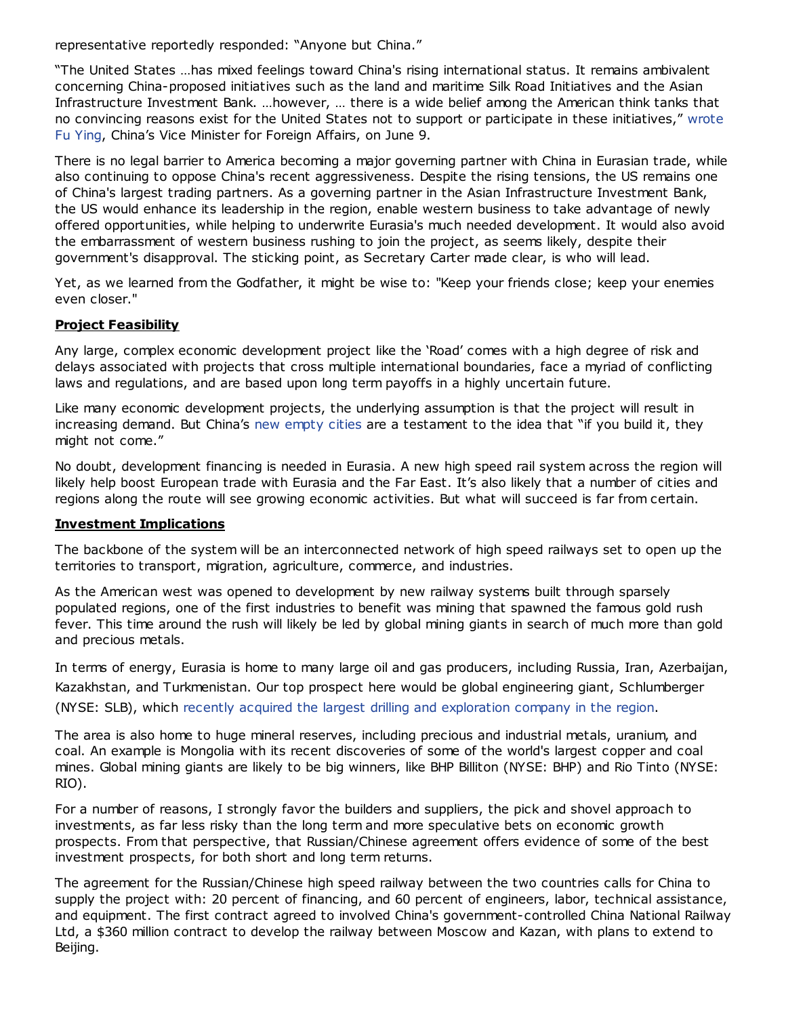representative reportedly responded: "Anyone but China."

"The United States …has mixed feelings toward China's rising international status. It remains ambivalent concerning China-proposed initiatives such as the land and maritime Silk Road Initiatives and the Asian Infrastructure Investment Bank. …however, … there is a wide belief among the American think tanks that no convincing reasons exist for the United States not to support or participate in these [initiatives,"](http://www.huffingtonpost.com/fu-ying/china-us-relations-future_b_7540932.html) wrote Fu Ying, China's Vice Minister for Foreign Affairs, on June 9.

There is no legal barrier to America becoming a major governing partner with China in Eurasian trade, while also continuing to oppose China's recent aggressiveness. Despite the rising tensions, the US remains one of China's largest trading partners. As a governing partner in the Asian Infrastructure Investment Bank, the US would enhance its leadership in the region, enable western business to take advantage of newly offered opportunities, while helping to underwrite Eurasia's much needed development. It would also avoid the embarrassment of western business rushing to join the project, as seems likely, despite their government's disapproval. The sticking point, as Secretary Carter made clear, is who will lead.

Yet, as we learned from the Godfather, it might be wise to: "Keep your friends close; keep your enemies even closer."

# Project Feasibility

Any large, complex economic development project like the 'Road' comes with a high degree of risk and delays associated with projects that cross multiple international boundaries, face a myriad of conflicting laws and regulations, and are based upon long term payoffs in a highly uncertain future.

Like many economic development projects, the underlying assumption is that the project will result in increasing demand. But China's new [empty](http://www.businessinsider.com/chinas-ghost-cities-in-2014-2014-6) cities are a testament to the idea that "if you build it, they might not come."

No doubt, development financing is needed in Eurasia. A new high speed rail system across the region will likely help boost European trade with Eurasia and the Far East. It's also likely that a number of cities and regions along the route will see growing economic activities. But what will succeed is far from certain.

# Investment Implications

The backbone of the system will be an interconnected network of high speed railways set to open up the territories to transport, migration, agriculture, commerce, and industries.

As the American west was opened to development by new railway systems built through sparsely populated regions, one of the first industries to benefit was mining that spawned the famous gold rush fever. This time around the rush will likely be led by global mining giants in search of much more than gold and precious metals.

In terms of energy, Eurasia is home to many large oil and gas producers, including Russia, Iran, Azerbaijan, Kazakhstan, and Turkmenistan. Our top prospect here would be global engineering giant, Schlumberger (NYSE: SLB), which recently acquired the largest drilling and [exploration](http://www.wsj.com/articles/schlumberger-to-pay-1-7b-for-stake-in-russias-eurasia-drilling-1421742274) company in the region.

The area is also home to huge mineral reserves, including precious and industrial metals, uranium, and coal. An example is Mongolia with its recent discoveries of some of the world's largest copper and coal mines. Global mining giants are likely to be big winners, like BHP Billiton (NYSE: BHP) and Rio Tinto (NYSE: RIO).

For a number of reasons, I strongly favor the builders and suppliers, the pick and shovel approach to investments, as far less risky than the long term and more speculative bets on economic growth prospects. From that perspective, that Russian/Chinese agreement offers evidence of some of the best investment prospects, for both short and long term returns.

The agreement for the Russian/Chinese high speed railway between the two countries calls for China to supply the project with: 20 percent of financing, and 60 percent of engineers, labor, technical assistance, and equipment. The first contract agreed to involved China's government-controlled China National Railway Ltd, a \$360 million contract to develop the railway between Moscow and Kazan, with plans to extend to Beijing.